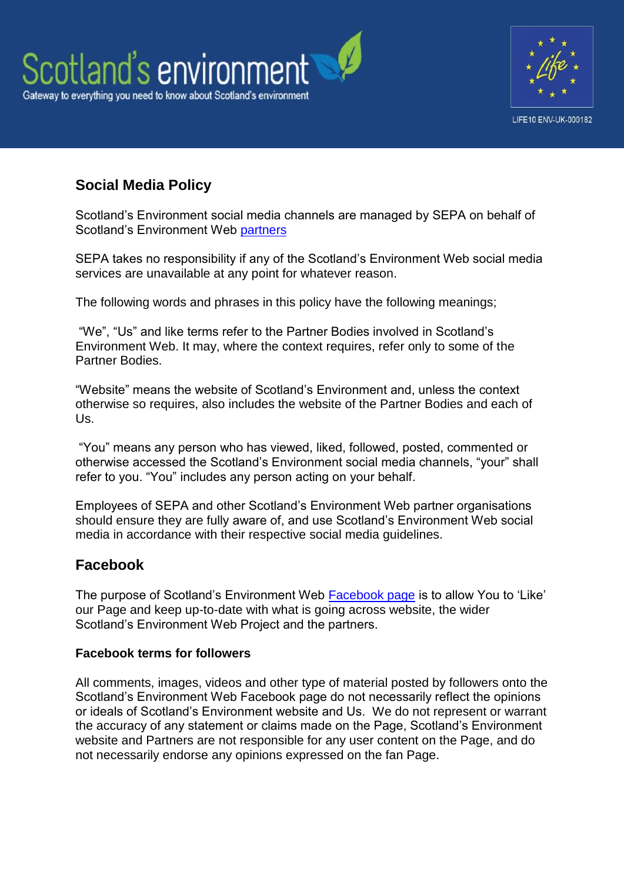



# **Social Media Policy**

Scotland's Environment social media channels are managed by SEPA on behalf of Scotland's Environment Web [partners](http://www.environment.scotland.gov.uk/about-us/scotlands-environment-partners/)

SEPA takes no responsibility if any of the Scotland's Environment Web social media services are unavailable at any point for whatever reason.

The following words and phrases in this policy have the following meanings;

"We", "Us" and like terms refer to the Partner Bodies involved in Scotland's Environment Web. It may, where the context requires, refer only to some of the Partner Bodies.

"Website" means the website of Scotland's Environment and, unless the context otherwise so requires, also includes the website of the Partner Bodies and each of Us.

"You" means any person who has viewed, liked, followed, posted, commented or otherwise accessed the Scotland's Environment social media channels, "your" shall refer to you. "You" includes any person acting on your behalf.

Employees of SEPA and other Scotland's Environment Web partner organisations should ensure they are fully aware of, and use Scotland's Environment Web social media in accordance with their respective social media guidelines.

## **Facebook**

The purpose of Scotland's Environment Web [Facebook page](https://www.facebook.com/pages/Scotlands-Environment-Web/504094719673549) is to allow You to 'Like' our Page and keep up-to-date with what is going across website, the wider Scotland's Environment Web Project and the partners.

#### **Facebook terms for followers**

All comments, images, videos and other type of material posted by followers onto the Scotland's Environment Web Facebook page do not necessarily reflect the opinions or ideals of Scotland's Environment website and Us. We do not represent or warrant the accuracy of any statement or claims made on the Page, Scotland's Environment website and Partners are not responsible for any user content on the Page, and do not necessarily endorse any opinions expressed on the fan Page.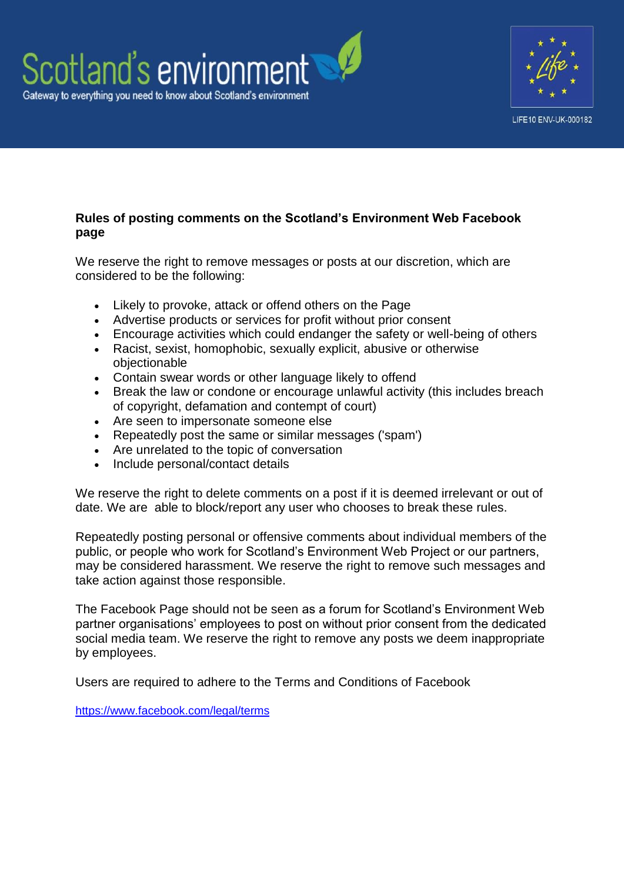



#### **Rules of posting comments on the Scotland's Environment Web Facebook page**

We reserve the right to remove messages or posts at our discretion, which are considered to be the following:

- Likely to provoke, attack or offend others on the Page
- Advertise products or services for profit without prior consent
- Encourage activities which could endanger the safety or well-being of others
- Racist, sexist, homophobic, sexually explicit, abusive or otherwise objectionable
- Contain swear words or other language likely to offend
- Break the law or condone or encourage unlawful activity (this includes breach of copyright, defamation and contempt of court)
- Are seen to impersonate someone else
- Repeatedly post the same or similar messages ('spam')
- Are unrelated to the topic of conversation
- Include personal/contact details

We reserve the right to delete comments on a post if it is deemed irrelevant or out of date. We are able to block/report any user who chooses to break these rules.

Repeatedly posting personal or offensive comments about individual members of the public, or people who work for Scotland's Environment Web Project or our partners, may be considered harassment. We reserve the right to remove such messages and take action against those responsible.

The Facebook Page should not be seen as a forum for Scotland's Environment Web partner organisations' employees to post on without prior consent from the dedicated social media team. We reserve the right to remove any posts we deem inappropriate by employees.

Users are required to adhere to the Terms and Conditions of Facebook

<https://www.facebook.com/legal/terms>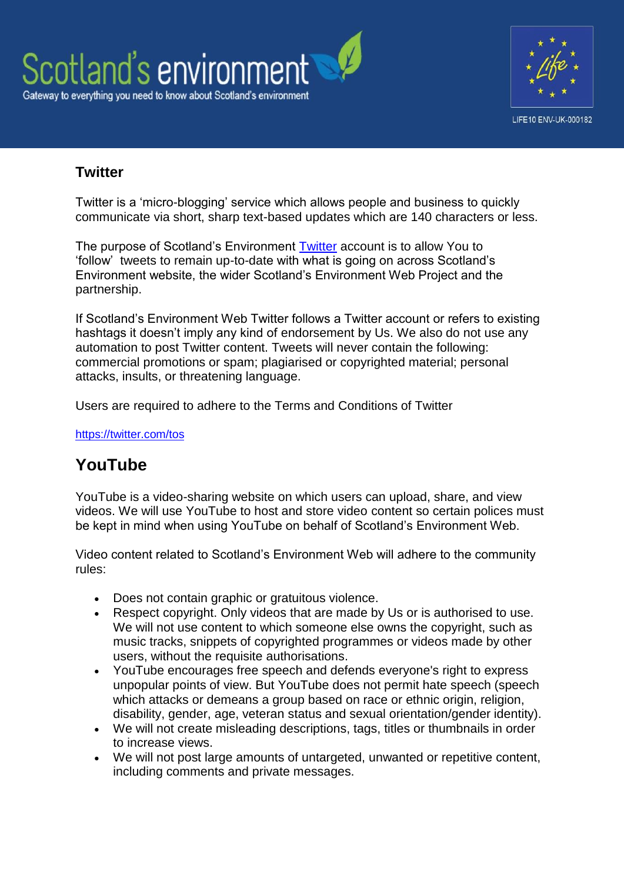



# **Twitter**

Twitter is a 'micro-blogging' service which allows people and business to quickly communicate via short, sharp text-based updates which are 140 characters or less.

The purpose of Scotland's Environment [Twitter](https://twitter.com/ScotEnvironment) account is to allow You to 'follow' tweets to remain up-to-date with what is going on across Scotland's Environment website, the wider Scotland's Environment Web Project and the partnership.

If Scotland's Environment Web Twitter follows a Twitter account or refers to existing hashtags it doesn't imply any kind of endorsement by Us. We also do not use any automation to post Twitter content. Tweets will never contain the following: commercial promotions or spam; plagiarised or copyrighted material; personal attacks, insults, or threatening language.

Users are required to adhere to the Terms and Conditions of Twitter

<https://twitter.com/tos>

# **YouTube**

YouTube is a video-sharing website on which users can upload, share, and view videos. We will use YouTube to host and store video content so certain polices must be kept in mind when using YouTube on behalf of Scotland's Environment Web.

Video content related to Scotland's Environment Web will adhere to the community rules:

- Does not contain graphic or gratuitous violence.
- Respect copyright. Only videos that are made by Us or is authorised to use. We will not use content to which someone else owns the copyright, such as music tracks, snippets of copyrighted programmes or videos made by other users, without the requisite authorisations.
- YouTube encourages free speech and defends everyone's right to express unpopular points of view. But YouTube does not permit hate speech (speech which attacks or demeans a group based on race or ethnic origin, religion, disability, gender, age, veteran status and sexual orientation/gender identity).
- We will not create misleading descriptions, tags, titles or thumbnails in order to increase views.
- We will not post large amounts of untargeted, unwanted or repetitive content, including comments and private messages.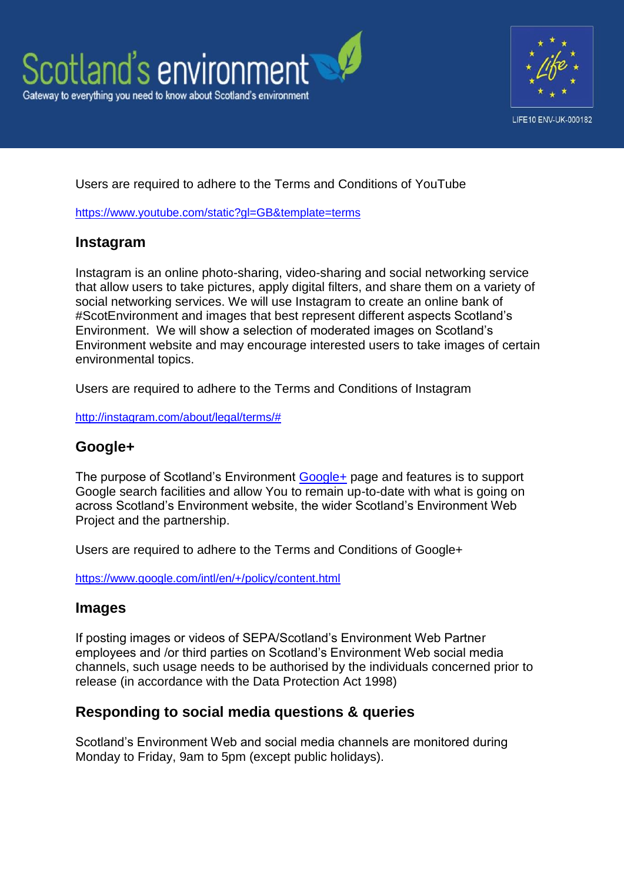



#### Users are required to adhere to the Terms and Conditions of YouTube

<https://www.youtube.com/static?gl=GB&template=terms>

#### **Instagram**

Instagram is an online photo-sharing, video-sharing and social networking service that allow users to take pictures, apply digital filters, and share them on a variety of social networking services. We will use Instagram to create an online bank of #ScotEnvironment and images that best represent different aspects Scotland's Environment. We will show a selection of moderated images on Scotland's Environment website and may encourage interested users to take images of certain environmental topics.

Users are required to adhere to the Terms and Conditions of Instagram

[http://instagram.com/about/legal/terms/#](http://instagram.com/about/legal/terms/)

#### **Google+**

The purpose of Scotland's Environment [Google+](https://plus.google.com/117242049756518586216/posts) page and features is to support Google search facilities and allow You to remain up-to-date with what is going on across Scotland's Environment website, the wider Scotland's Environment Web Project and the partnership.

Users are required to adhere to the Terms and Conditions of Google+

<https://www.google.com/intl/en/+/policy/content.html>

#### **Images**

If posting images or videos of SEPA/Scotland's Environment Web Partner employees and /or third parties on Scotland's Environment Web social media channels, such usage needs to be authorised by the individuals concerned prior to release (in accordance with the Data Protection Act 1998)

## **Responding to social media questions & queries**

Scotland's Environment Web and social media channels are monitored during Monday to Friday, 9am to 5pm (except public holidays).